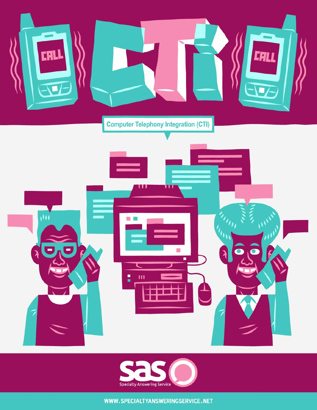



WWW.SPECIALTYANSWERINGSERVICE.NET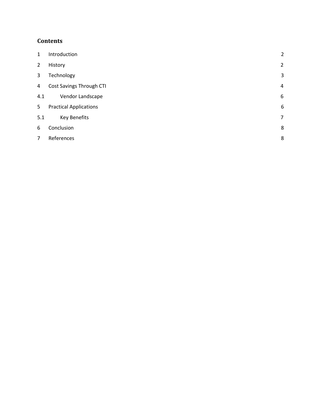### **Contents**

| $\mathbf{1}$   | Introduction                  | $\overline{2}$ |
|----------------|-------------------------------|----------------|
| $\overline{2}$ | History                       | $\overline{2}$ |
| 3              | Technology                    | 3              |
| 4              | Cost Savings Through CTI      | $\overline{4}$ |
| 4.1            | Vendor Landscape              | 6              |
| 5              | <b>Practical Applications</b> | 6              |
| 5.1            | Key Benefits                  | 7              |
| 6              | Conclusion                    | 8              |
| 7              | References                    | 8              |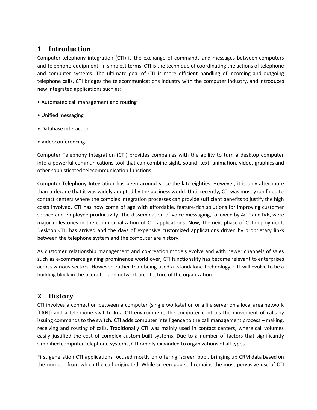# <span id="page-2-0"></span>**1 Introduction**

Computer-telephony integration (CTI) is the exchange of commands and messages between computers and telephone equipment. In simplest terms, CTI is the technique of coordinating the actions of telephone and computer systems. The ultimate goal of CTI is more efficient handling of incoming and outgoing telephone calls. CTI bridges the telecommunications industry with the computer industry, and introduces new integrated applications such as:

- Automated call management and routing
- Unified messaging
- Database interaction
- Videoconferencing

Computer Telephony Integration (CTI) provides companies with the ability to turn a desktop computer into a powerful communications tool that can combine sight, sound, text, animation, video, graphics and other sophisticated telecommunication functions.

Computer-Telephony Integration has been around since the late eighties. However, it is only after more than a decade that it was widely adopted by the business world. Until recently, CTI was mostly confined to contact centers where the complex integration processes can provide sufficient benefits to justify the high costs involved. CTI has now come of age with affordable, feature-rich solutions for improving customer service and employee productivity. The dissemination of voice messaging, followed by ACD and IVR, were major milestones in the commercialization of CTI applications. Now, the next phase of CTI deployment, Desktop CTI, has arrived and the days of expensive customized applications driven by proprietary links between the telephone system and the computer are history.

As customer relationship management and co-creation models evolve and with newer channels of sales such as e-commerce gaining prominence world over, CTI functionality has become relevant to enterprises across various sectors. However, rather than being used a standalone technology, CTI will evolve to be a building block in the overall IT and network architecture of the organization.

### <span id="page-2-1"></span>**2 History**

CTI involves a connection between a computer (single workstation or a file server on a local area network [LAN]) and a telephone switch. In a CTI environment, the computer controls the movement of calls by issuing commands to the switch. CTI adds computer intelligence to the call management process – making, receiving and routing of calls. Traditionally CTI was mainly used in contact centers, where call volumes easily justified the cost of complex custom-built systems. Due to a number of factors that significantly simplified computer telephone systems, CTI rapidly expanded to organizations of all types.

First generation CTI applications focused mostly on offering 'screen pop', bringing up CRM data based on the number from which the call originated. While screen pop still remains the most pervasive use of CTI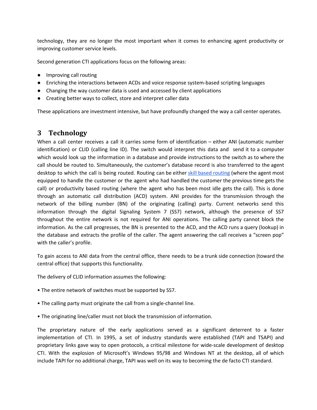technology, they are no longer the most important when it comes to enhancing agent productivity or improving customer service levels.

Second generation CTI applications focus on the following areas:

- Improving call routing
- Enriching the interactions between ACDs and voice response system-based scripting languages
- Changing the way customer data is used and accessed by client applications
- Creating better ways to collect, store and interpret caller data

These applications are investment intensive, but have profoundly changed the way a call center operates.

## <span id="page-3-0"></span>**3 Technology**

When a call center receives a call it carries some form of identification – either ANI (automatic number identification) or CLID (calling line ID). The switch would interpret this data and send it to a computer which would look up the information in a database and provide instructions to the switch as to where the call should be routed to. Simultaneously, the customer's database record is also transferred to the agent desktop to which the call is being routed. Routing can be either skill based [routing](https://www.specialtyansweringservice.net/library-books/skills-based-routing/) (where the agent most equipped to handle the customer or the agent who had handled the customer the previous time gets the call) or productivity based routing (where the agent who has been most idle gets the call). This is done through an automatic call distribution (ACD) system. ANI provides for the transmission through the network of the billing number (BN) of the originating (calling) party. Current networks send this information through the digital Signaling System 7 (SS7) network, although the presence of SS7 throughout the entire network is not required for ANI operations. The calling party cannot block the information. As the call progresses, the BN is presented to the ACD, and the ACD runs a query (lookup) in the database and extracts the profile of the caller. The agent answering the call receives a "screen pop" with the caller's profile.

To gain access to ANI data from the central office, there needs to be a trunk side connection (toward the central office) that supports this functionality.

The delivery of CLID information assumes the following:

- The entire network of switches must be supported by SS7.
- The calling party must originate the call from a single-channel line.
- The originating line/caller must not block the transmission of information.

The proprietary nature of the early applications served as a significant deterrent to a faster implementation of CTI. In 1995, a set of industry standards were established (TAPI and TSAPI) and proprietary links gave way to open protocols, a critical milestone for wide-scale development of desktop CTI. With the explosion of Microsoft's Windows 95/98 and Windows NT at the desktop, all of which include TAPI for no additional charge, TAPI was well on its way to becoming the de facto CTI standard.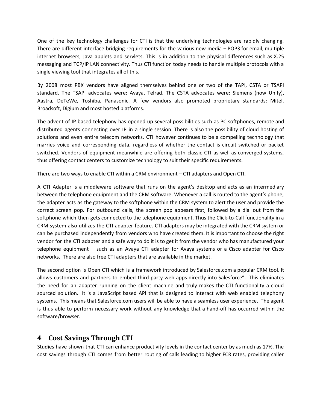One of the key technology challenges for CTI is that the underlying technologies are rapidly changing. There are different interface bridging requirements for the various new media – POP3 for email, multiple internet browsers, Java applets and servlets. This is in addition to the physical differences such as X.25 messaging and TCP/IP LAN connectivity. Thus CTI function today needs to handle multiple protocols with a single viewing tool that integrates all of this.

By 2008 most PBX vendors have aligned themselves behind one or two of the TAPI, CSTA or TSAPI standard. The TSAPI advocates were: Avaya, Telrad. The CSTA advocates were: Siemens (now Unify), Aastra, DeTeWe, Toshiba, Panasonic. A few vendors also promoted proprietary standards: Mitel, Broadsoft, Digium and most hosted platforms.

The advent of IP based telephony has opened up several possibilities such as PC softphones, remote and distributed agents connecting over IP in a single session. There is also the possibility of cloud hosting of solutions and even entire telecom networks. CTI however continues to be a compelling technology that marries voice and corresponding data, regardless of whether the contact is circuit switched or packet switched. Vendors of equipment meanwhile are offering both classic CTI as well as converged systems, thus offering contact centers to customize technology to suit their specific requirements.

There are two ways to enable CTI within a CRM environment – CTI adapters and Open CTI.

A CTI Adapter is a middleware software that runs on the agent's desktop and acts as an intermediary between the telephone equipment and the CRM software. Whenever a call is routed to the agent's phone, the adapter acts as the gateway to the softphone within the CRM system to alert the user and provide the correct screen pop. For outbound calls, the screen pop appears first, followed by a dial out from the softphone which then gets connected to the telephone equipment. Thus the Click-to-Call functionality in a CRM system also utilizes the CTI adapter feature. CTI adapters may be integrated with the CRM system or can be purchased independently from vendors who have created them. It is important to choose the right vendor for the CTI adapter and a safe way to do it is to get it from the vendor who has manufactured your telephone equipment – such as an Avaya CTI adapter for Avaya systems or a Cisco adapter for Cisco networks. There are also free CTI adapters that are available in the market.

The second option is Open CTI which is a framework introduced by Salesforce.com a popular CRM tool. It allows customers and partners to embed third party web apps directly into Salesforce". This eliminates the need for an adapter running on the client machine and truly makes the CTI functionality a cloud sourced solution. It is a JavaScript based API that is designed to interact with web enabled telephony systems. This means that Salesforce.com users will be able to have a seamless user experience. The agent is thus able to perform necessary work without any knowledge that a hand-off has occurred within the software/browser.

### <span id="page-4-0"></span>**4 Cost Savings Through CTI**

Studies have shown that CTI can enhance productivity levels in the contact center by as much as 17%. The cost savings through CTI comes from better routing of calls leading to higher FCR rates, providing caller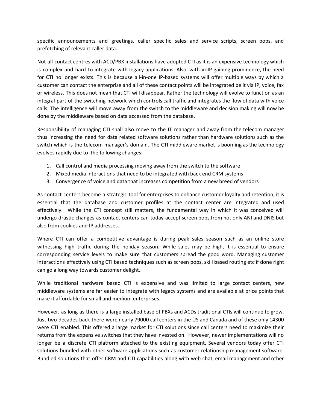specific announcements and greetings, caller specific sales and service scripts, screen pops, and prefetching of relevant caller data.

Not all contact centres with ACD/PBX installations have adopted CTI as it is an expensive technology which is complex and hard to integrate with legacy applications. Also, with VoIP gaining prominence, the need for CTI no longer exists. This is because all-in-one IP-based systems will offer multiple ways by which a customer can contact the enterprise and all of these contact points will be integrated be it via IP, voice, fax or wireless. This does not mean that CTI will disappear. Rather the technology will evolve to function as an integral part of the switching network which controls call traffic and integrates the flow of data with voice calls. The intelligence will move away from the switch to the middleware and decision making will now be done by the middleware based on data accessed from the database.

Responsibility of managing CTI shall also move to the IT manager and away from the telecom manager thus increasing the need for data related software solutions rather than hardware solutions such as the switch which is the telecom manager's domain. The CTI middleware market is booming as the technology evolves rapidly due to the following changes:

- 1. Call control and media processing moving away from the switch to the software
- 2. Mixed media interactions that need to be integrated with back end CRM systems
- 3. Convergence of voice and data that increases competition from a new breed of vendors

As contact centers become a strategic tool for enterprises to enhance customer loyalty and retention, it is essential that the database and customer profiles at the contact center are integrated and used effectively. While the CTI concept still matters, the fundamental way in which it was conceived will undergo drastic changes as contact centers can today accept screen pops from not only ANI and DNIS but also from cookies and IP addresses.

Where CTI can offer a competitive advantage is during peak sales season such as an online store witnessing high traffic during the holiday season. While sales may be high, it is essential to ensure corresponding service levels to make sure that customers spread the good word. Managing customer interactions effectively using CTI based techniques such as screen pops, skill based routing etc if done right can go a long way towards customer delight.

While traditional hardware based CTI is expensive and was limited to large contact centers, new middleware systems are far easier to integrate with legacy systems and are available at price points that make it affordable for small and medium enterprises.

However, as long as there is a large installed base of PBXs and ACDs traditional CTIs will continue to grow. Just two decades back there were nearly 79000 call centers in the US and Canada and of these only 14300 were CTI enabled. This offered a large market for CTI solutions since call centers need to maximize their returns from the expensive switches that they have invested on. However, newer implementations will no longer be a discrete CTI platform attached to the existing equipment. Several vendors today offer CTI solutions bundled with other software applications such as customer relationship management software. Bundled solutions that offer CRM and CTI capabilities along with web chat, email management and other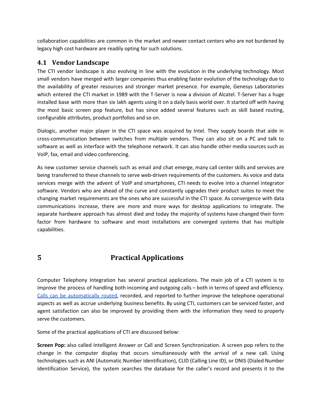collaboration capabilities are common in the market and newer contact centers who are not burdened by legacy high cost hardware are readily opting for such solutions.

### <span id="page-6-0"></span>**4.1 Vendor [Landscape](http://web.a.ebscohost.com.ezproxy.usq.edu.au/ehost/detail/detail?sid=ba0417e7-9610-4699-8e4e-8fe41d2f681d%40sessionmgr4004&vid=2&hid=4112&bdata=JnNpdGU9ZWhvc3QtbGl2ZQ%3d%3d#toc)**

The CTI vendor landscape is also evolving in line with the evolution in the underlying technology. Most small vendors have merged with larger companies thus enabling faster evolution of the technology due to the availability of greater resources and stronger market presence. For example, Genesys Laboratories which entered the CTI market in 1989 with the T-Server is now a division of Alcatel. T-Server has a huge installed base with more than six lakh agents using it on a daily basis world over. It started off with having the most basic screen pop feature, but has since added several features such as skill based routing, configurable attributes, product portfolios and so on.

Dialogic, another major player in the CTI space was acquired by Intel. They supply boards that aide in cross-communication between switches from multiple vendors. They can also sit on a PC and talk to software as well as interface with the telephone network. It can also handle other media sources such as VoIP, fax, email and video conferencing.

As new customer service channels such as email and chat emerge, many call center skills and services are being transferred to these channels to serve web-driven requirements of the customers. As voice and data services merge with the advent of VoIP and smartphones, CTI needs to evolve into a channel integrator software. Vendors who are ahead of the curve and constantly upgrades their product suites to meet the changing market requirements are the ones who are successful in the CTI space. As convergence with data communications increase, there are more and more ways for desktop applications to integrate. The separate hardware approach has almost died and today the majority of systems have changed their form factor from hardware to software and most installations are converged systems that has multiple capabilities.

<span id="page-6-1"></span>

## **5 Practical Applications**

Computer Telephony Integration has several practical applications. The main job of a CTI system is to improve the process of handling both incoming and outgoing calls – both in terms of speed and efficiency. Calls can be [automatically](https://www.specialtyansweringservice.net/library-books/learn-call-routing/) routed, recorded, and reported to further improve the telephone operational aspects as well as accrue underlying business benefits. By using CTI, customers can be serviced faster, and agent satisfaction can also be improved by providing them with the information they need to properly serve the customers.

Some of the practical applications of CTI are discussed below:

**Screen Pop:** also called Intelligent Answer or Call and Screen Synchronization. A screen pop refers to the change in the computer display that occurs simultaneously with the arrival of a new call. Using technologies such as ANI (Automatic Number Identification), CLID (Calling Line ID), or DNIS (Dialed Number Identification Service), the system searches the database for the caller's record and presents it to the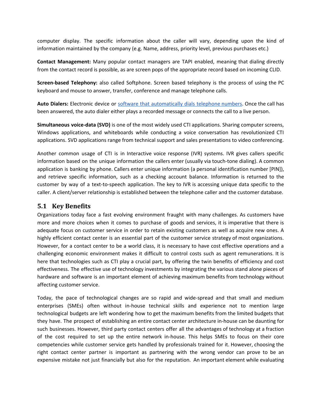computer display. The specific information about the caller will vary, depending upon the kind of information maintained by the company (e.g. Name, address, priority level, previous purchases etc.)

**Contact Management:** Many popular contact managers are TAPI enabled, meaning that dialing directly from the contact record is possible, as are screen pops of the appropriate record based on incoming CLID.

**Screen-based Telephony:** also called Softphone. Screen based telephony is the process of using the PC keyboard and mouse to answer, transfer, conference and manage telephone calls.

**Auto Dialers:** Electronic device or software that [automatically](https://www.specialtyansweringservice.net/library-books/compare-autodialer-software-providers/) dials telephone numbers. Once the call has been answered, the auto dialer either plays a recorded message or connects the call to a live person.

**Simultaneous voice-data (SVD)** is one of the most widely used CTI applications. Sharing computer screens, Windows applications, and whiteboards while conducting a voice conversation has revolutionized CTI applications. SVD applications range from technical support and sales presentations to video conferencing.

Another common usage of CTI is in Interactive voice response (IVR) systems. IVR gives callers specific information based on the unique information the callers enter (usually via touch-tone dialing). A common application is banking by phone. Callers enter unique information (a personal identification number [PIN]), and retrieve specific information, such as a checking account balance. Information is returned to the customer by way of a text-to-speech application. The key to IVR is accessing unique data specific to the caller. A client/server relationship is established between the telephone caller and the customer database.

#### <span id="page-7-0"></span>**5.1 Key Benefits**

Organizations today face a fast evolving environment fraught with many challenges. As customers have more and more choices when it comes to purchase of goods and services, it is imperative that there is adequate focus on customer service in order to retain existing customers as well as acquire new ones. A highly efficient contact center is an essential part of the customer service strategy of most organizations. However, for a contact center to be a world class, it is necessary to have cost effective operations and a challenging economic environment makes it difficult to control costs such as agent remunerations. It is here that technologies such as CTI play a crucial part, by offering the twin benefits of efficiency and cost effectiveness. The effective use of technology investments by integrating the various stand alone pieces of hardware and software is an important element of achieving maximum benefits from technology without affecting customer service.

Today, the pace of technological changes are so rapid and wide-spread and that small and medium enterprises (SMEs) often without in-house technical skills and experience not to mention large technological budgets are left wondering how to get the maximum benefits from the limited budgets that they have. The prospect of establishing an entire contact center architecture in-house can be daunting for such businesses. However, third party contact centers offer all the advantages of technology at a fraction of the cost required to set up the entire network in-house. This helps SMEs to focus on their core competencies while customer service gets handled by professionals trained for it. However, choosing the right contact center partner is important as partnering with the wrong vendor can prove to be an expensive mistake not just financially but also for the reputation. An important element while evaluating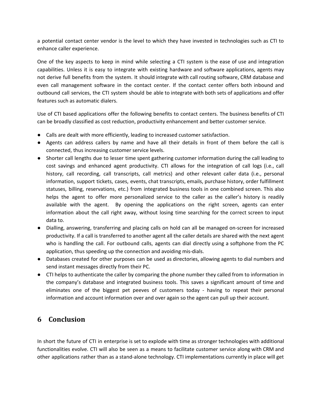a potential contact center vendor is the level to which they have invested in technologies such as CTI to enhance caller experience.

One of the key aspects to keep in mind while selecting a CTI system is the ease of use and integration capabilities. Unless it is easy to integrate with existing hardware and software applications, agents may not derive full benefits from the system. It should integrate with call routing software, CRM database and even call management software in the contact center. If the contact center offers both inbound and outbound call services, the CTI system should be able to integrate with both sets of applications and offer features such as automatic dialers.

Use of CTI based applications offer the following benefits to contact centers. The business benefits of CTI can be broadly classified as cost reduction, productivity enhancement and better customer service.

- Calls are dealt with more efficiently, leading to increased customer satisfaction.
- Agents can address callers by name and have all their details in front of them before the call is connected, thus increasing customer service levels.
- Shorter call lengths due to lesser time spent gathering customer information during the call leading to cost savings and enhanced agent productivity. CTI allows for the integration of call logs (i.e., call history, call recording, call transcripts, call metrics) and other relevant caller data (i.e., personal information, support tickets, cases, events, chat transcripts, emails, purchase history, order fulfillment statuses, billing, reservations, etc.) from integrated business tools in one combined screen. This also helps the agent to offer more personalized service to the caller as the caller's history is readily available with the agent. By opening the applications on the right screen, agents can enter information about the call right away, without losing time searching for the correct screen to input data to.
- Dialling, answering, transferring and placing calls on hold can all be managed on-screen for increased productivity. If a call is transferred to another agent all the caller details are shared with the next agent who is handling the call. For outbound calls, agents can dial directly using a softphone from the PC application, thus speeding up the connection and avoiding mis-dials.
- Databases created for other purposes can be used as directories, allowing agents to dial numbers and send instant messages directly from their PC.
- CTI helps to authenticate the caller by comparing the phone number they called from to information in the company's database and integrated business tools. This saves a significant amount of time and eliminates one of the biggest pet peeves of customers today - having to repeat their personal information and account information over and over again so the agent can pull up their account.

## <span id="page-8-0"></span>**6 Conclusion**

In short the future of CTI in enterprise is set to explode with time as stronger technologies with additional functionalities evolve. CTI will also be seen as a means to facilitate customer service along with CRM and other applications rather than as a stand-alone technology. CTI implementations currently in place will get